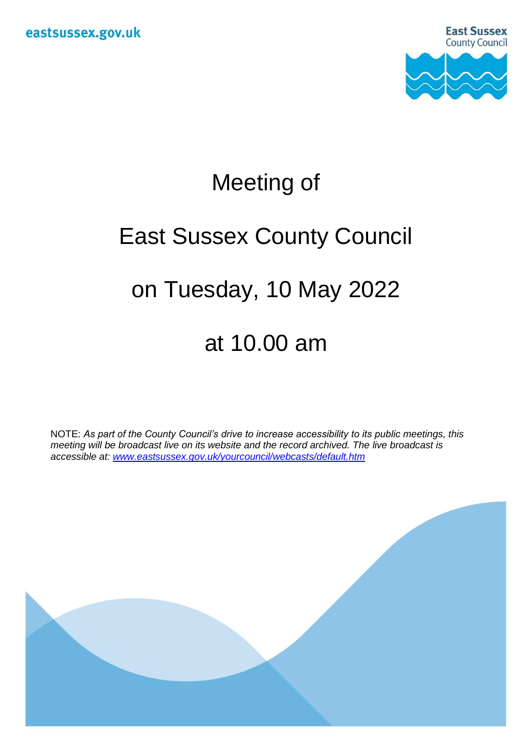

## Meeting of

# East Sussex County Council

### on Tuesday, 10 May 2022

### at 10.00 am

NOTE: *As part of the County Council's drive to increase accessibility to its public meetings, this meeting will be broadcast live on its website and the record archived. The live broadcast is accessible at: [www.eastsussex.gov.uk/yourcouncil/webcasts/default.htm](http://www.eastsussex.gov.uk/yourcouncil/webcasts/default.htm)*

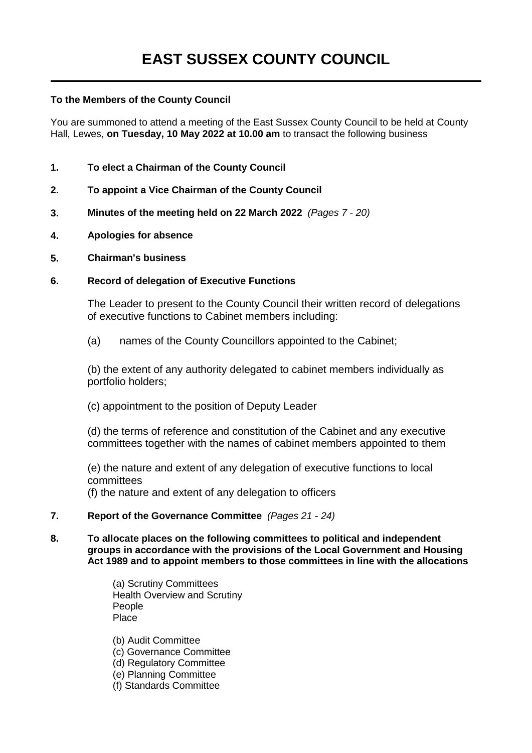#### **To the Members of the County Council**

You are summoned to attend a meeting of the East Sussex County Council to be held at County Hall, Lewes, **on Tuesday, 10 May 2022 at 10.00 am** to transact the following business

- **1. To elect a Chairman of the County Council**
- **2. To appoint a Vice Chairman of the County Council**
- **3. Minutes of the meeting held on 22 March 2022** *(Pages 7 - 20)*
- **4. Apologies for absence**
- **5. Chairman's business**

#### **6. Record of delegation of Executive Functions**

The Leader to present to the County Council their written record of delegations of executive functions to Cabinet members including:

(a) names of the County Councillors appointed to the Cabinet;

(b) the extent of any authority delegated to cabinet members individually as portfolio holders;

(c) appointment to the position of Deputy Leader

(d) the terms of reference and constitution of the Cabinet and any executive committees together with the names of cabinet members appointed to them

(e) the nature and extent of any delegation of executive functions to local committees

(f) the nature and extent of any delegation to officers

- **7. Report of the Governance Committee** *(Pages 21 - 24)*
- **8. To allocate places on the following committees to political and independent groups in accordance with the provisions of the Local Government and Housing Act 1989 and to appoint members to those committees in line with the allocations**

(a) Scrutiny Committees Health Overview and Scrutiny People Place

(b) Audit Committee

- (c) Governance Committee
- (d) Regulatory Committee
- (e) Planning Committee
- (f) Standards Committee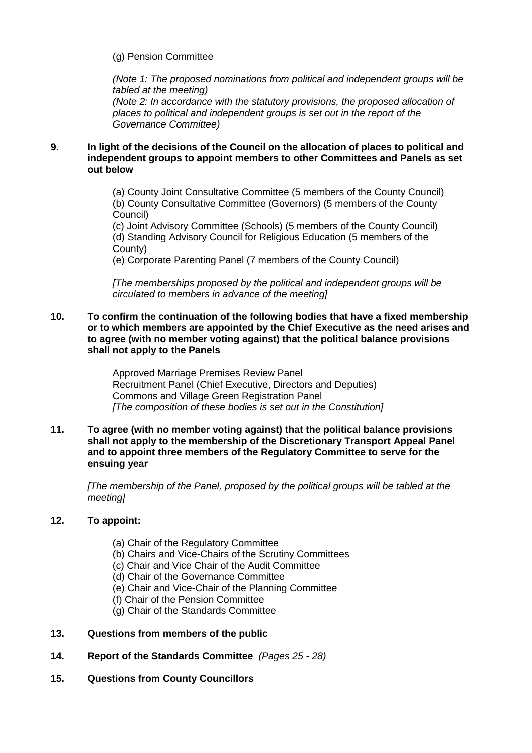(g) Pension Committee

*(Note 1: The proposed nominations from political and independent groups will be tabled at the meeting) (Note 2: In accordance with the statutory provisions, the proposed allocation of places to political and independent groups is set out in the report of the Governance Committee)*

#### **9. In light of the decisions of the Council on the allocation of places to political and independent groups to appoint members to other Committees and Panels as set out below**

(a) County Joint Consultative Committee (5 members of the County Council) (b) County Consultative Committee (Governors) (5 members of the County Council)

(c) Joint Advisory Committee (Schools) (5 members of the County Council) (d) Standing Advisory Council for Religious Education (5 members of the County)

(e) Corporate Parenting Panel (7 members of the County Council)

*[The memberships proposed by the political and independent groups will be circulated to members in advance of the meeting]*

#### **10. To confirm the continuation of the following bodies that have a fixed membership or to which members are appointed by the Chief Executive as the need arises and to agree (with no member voting against) that the political balance provisions shall not apply to the Panels**

Approved Marriage Premises Review Panel Recruitment Panel (Chief Executive, Directors and Deputies) Commons and Village Green Registration Panel *[The composition of these bodies is set out in the Constitution]*

#### **11. To agree (with no member voting against) that the political balance provisions shall not apply to the membership of the Discretionary Transport Appeal Panel and to appoint three members of the Regulatory Committee to serve for the ensuing year**

*[The membership of the Panel, proposed by the political groups will be tabled at the meeting]*

#### **12. To appoint:**

- (a) Chair of the Regulatory Committee
- (b) Chairs and Vice-Chairs of the Scrutiny Committees
- (c) Chair and Vice Chair of the Audit Committee
- (d) Chair of the Governance Committee
- (e) Chair and Vice-Chair of the Planning Committee
- (f) Chair of the Pension Committee
- (g) Chair of the Standards Committee
- **13. Questions from members of the public**
- **14. Report of the Standards Committee** *(Pages 25 - 28)*
- **15. Questions from County Councillors**